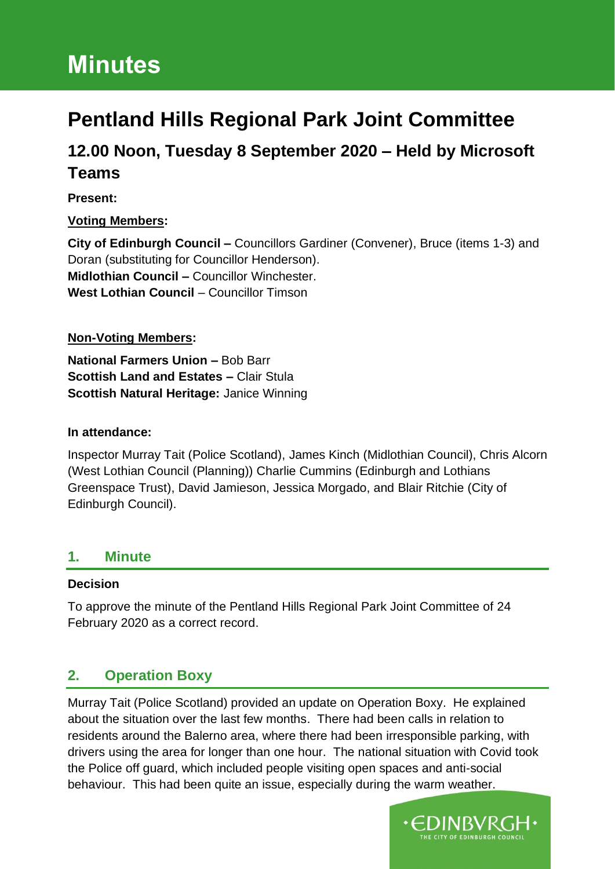# **Minutes**

## **Pentland Hills Regional Park Joint Committee**

## **12.00 Noon, Tuesday 8 September 2020 – Held by Microsoft Teams**

#### **Present:**

#### **Voting Members:**

**City of Edinburgh Council –** Councillors Gardiner (Convener), Bruce (items 1-3) and Doran (substituting for Councillor Henderson). **Midlothian Council –** Councillor Winchester. **West Lothian Council** – Councillor Timson

#### **Non-Voting Members:**

**National Farmers Union –** Bob Barr **Scottish Land and Estates –** Clair Stula **Scottish Natural Heritage:** Janice Winning

#### **In attendance:**

Inspector Murray Tait (Police Scotland), James Kinch (Midlothian Council), Chris Alcorn (West Lothian Council (Planning)) Charlie Cummins (Edinburgh and Lothians Greenspace Trust), David Jamieson, Jessica Morgado, and Blair Ritchie (City of Edinburgh Council).

#### **1. Minute**

#### **Decision**

To approve the minute of the Pentland Hills Regional Park Joint Committee of 24 February 2020 as a correct record.

### **2. Operation Boxy**

Murray Tait (Police Scotland) provided an update on Operation Boxy. He explained about the situation over the last few months. There had been calls in relation to residents around the Balerno area, where there had been irresponsible parking, with drivers using the area for longer than one hour. The national situation with Covid took the Police off guard, which included people visiting open spaces and anti-social behaviour. This had been quite an issue, especially during the warm weather.

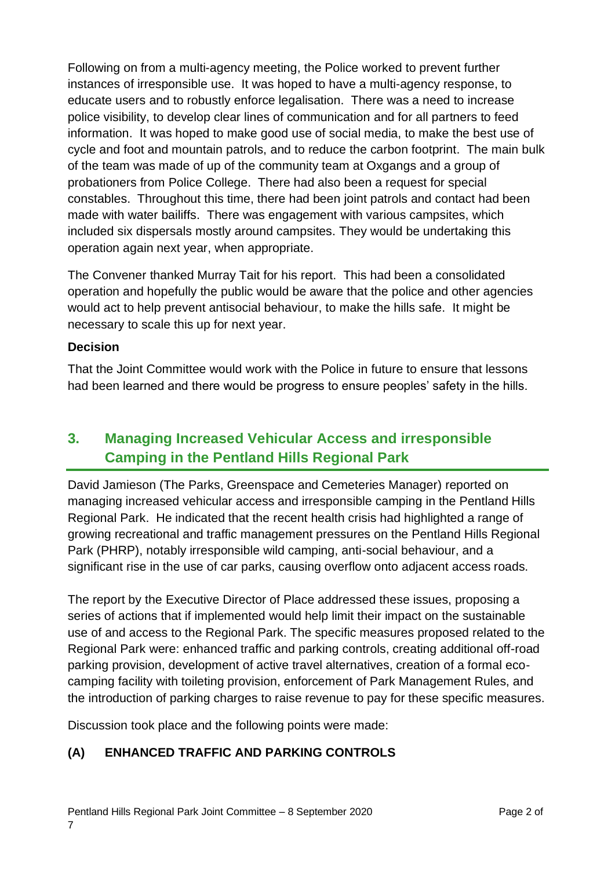Following on from a multi-agency meeting, the Police worked to prevent further instances of irresponsible use. It was hoped to have a multi-agency response, to educate users and to robustly enforce legalisation. There was a need to increase police visibility, to develop clear lines of communication and for all partners to feed information. It was hoped to make good use of social media, to make the best use of cycle and foot and mountain patrols, and to reduce the carbon footprint. The main bulk of the team was made of up of the community team at Oxgangs and a group of probationers from Police College. There had also been a request for special constables. Throughout this time, there had been joint patrols and contact had been made with water bailiffs. There was engagement with various campsites, which included six dispersals mostly around campsites. They would be undertaking this operation again next year, when appropriate.

The Convener thanked Murray Tait for his report. This had been a consolidated operation and hopefully the public would be aware that the police and other agencies would act to help prevent antisocial behaviour, to make the hills safe. It might be necessary to scale this up for next year.

#### **Decision**

That the Joint Committee would work with the Police in future to ensure that lessons had been learned and there would be progress to ensure peoples' safety in the hills.

## **3. Managing Increased Vehicular Access and irresponsible Camping in the Pentland Hills Regional Park**

David Jamieson (The Parks, Greenspace and Cemeteries Manager) reported on managing increased vehicular access and irresponsible camping in the Pentland Hills Regional Park. He indicated that the recent health crisis had highlighted a range of growing recreational and traffic management pressures on the Pentland Hills Regional Park (PHRP), notably irresponsible wild camping, anti-social behaviour, and a significant rise in the use of car parks, causing overflow onto adjacent access roads.

The report by the Executive Director of Place addressed these issues, proposing a series of actions that if implemented would help limit their impact on the sustainable use of and access to the Regional Park. The specific measures proposed related to the Regional Park were: enhanced traffic and parking controls, creating additional off-road parking provision, development of active travel alternatives, creation of a formal ecocamping facility with toileting provision, enforcement of Park Management Rules, and the introduction of parking charges to raise revenue to pay for these specific measures.

Discussion took place and the following points were made:

#### **(A) ENHANCED TRAFFIC AND PARKING CONTROLS**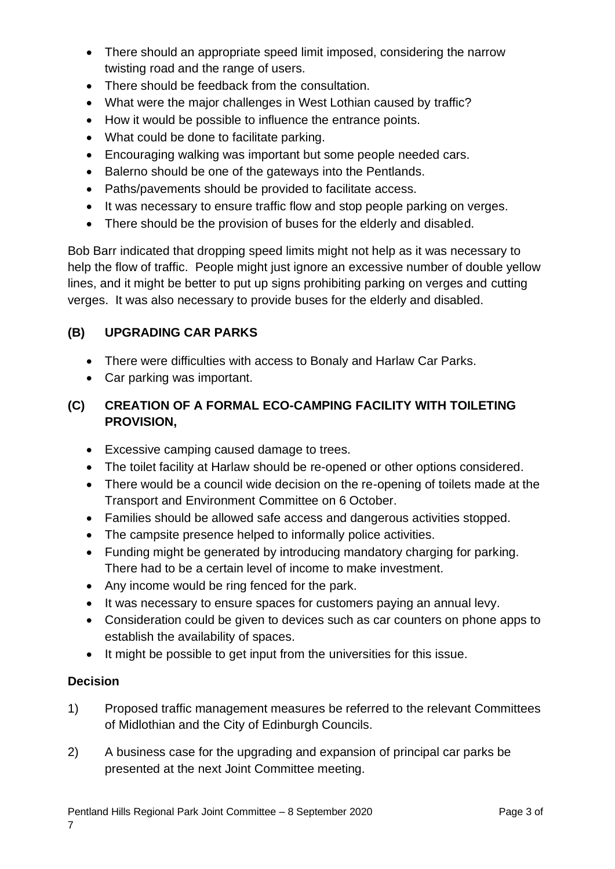- There should an appropriate speed limit imposed, considering the narrow twisting road and the range of users.
- There should be feedback from the consultation.
- What were the major challenges in West Lothian caused by traffic?
- How it would be possible to influence the entrance points.
- What could be done to facilitate parking.
- Encouraging walking was important but some people needed cars.
- Balerno should be one of the gateways into the Pentlands.
- Paths/pavements should be provided to facilitate access.
- It was necessary to ensure traffic flow and stop people parking on verges.
- There should be the provision of buses for the elderly and disabled.

Bob Barr indicated that dropping speed limits might not help as it was necessary to help the flow of traffic. People might just ignore an excessive number of double yellow lines, and it might be better to put up signs prohibiting parking on verges and cutting verges. It was also necessary to provide buses for the elderly and disabled.

#### **(B) UPGRADING CAR PARKS**

- There were difficulties with access to Bonaly and Harlaw Car Parks.
- Car parking was important.

#### **(C) CREATION OF A FORMAL ECO-CAMPING FACILITY WITH TOILETING PROVISION,**

- Excessive camping caused damage to trees.
- The toilet facility at Harlaw should be re-opened or other options considered.
- There would be a council wide decision on the re-opening of toilets made at the Transport and Environment Committee on 6 October.
- Families should be allowed safe access and dangerous activities stopped.
- The campsite presence helped to informally police activities.
- Funding might be generated by introducing mandatory charging for parking. There had to be a certain level of income to make investment.
- Any income would be ring fenced for the park.
- It was necessary to ensure spaces for customers paying an annual levy.
- Consideration could be given to devices such as car counters on phone apps to establish the availability of spaces.
- It might be possible to get input from the universities for this issue.

#### **Decision**

- 1) Proposed traffic management measures be referred to the relevant Committees of Midlothian and the City of Edinburgh Councils.
- 2) A business case for the upgrading and expansion of principal car parks be presented at the next Joint Committee meeting.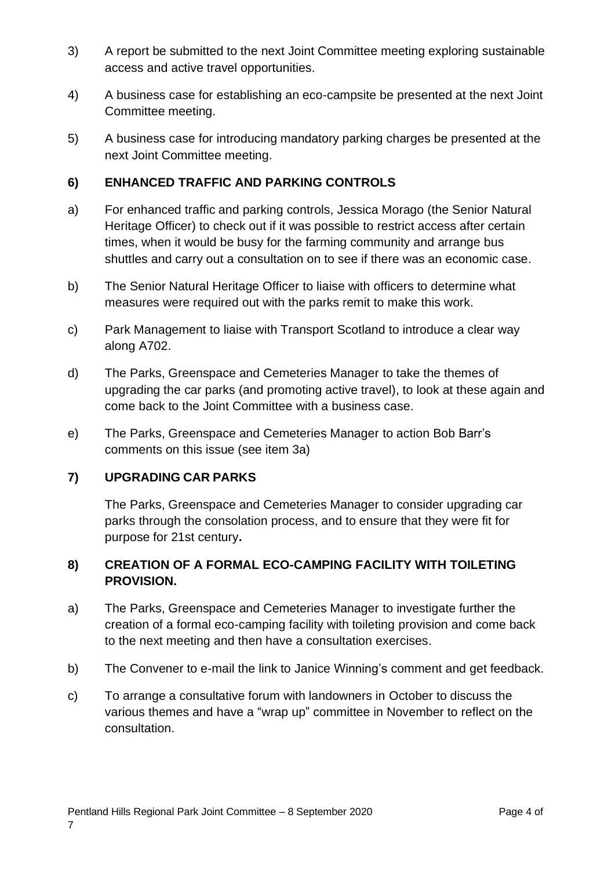- 3) A report be submitted to the next Joint Committee meeting exploring sustainable access and active travel opportunities.
- 4) A business case for establishing an eco-campsite be presented at the next Joint Committee meeting.
- 5) A business case for introducing mandatory parking charges be presented at the next Joint Committee meeting.

#### **6) ENHANCED TRAFFIC AND PARKING CONTROLS**

- a) For enhanced traffic and parking controls, Jessica Morago (the Senior Natural Heritage Officer) to check out if it was possible to restrict access after certain times, when it would be busy for the farming community and arrange bus shuttles and carry out a consultation on to see if there was an economic case.
- b) The Senior Natural Heritage Officer to liaise with officers to determine what measures were required out with the parks remit to make this work.
- c) Park Management to liaise with Transport Scotland to introduce a clear way along A702.
- d) The Parks, Greenspace and Cemeteries Manager to take the themes of upgrading the car parks (and promoting active travel), to look at these again and come back to the Joint Committee with a business case.
- e) The Parks, Greenspace and Cemeteries Manager to action Bob Barr's comments on this issue (see item 3a)

#### **7) UPGRADING CAR PARKS**

The Parks, Greenspace and Cemeteries Manager to consider upgrading car parks through the consolation process, and to ensure that they were fit for purpose for 21st century**.**

#### **8) CREATION OF A FORMAL ECO-CAMPING FACILITY WITH TOILETING PROVISION.**

- a) The Parks, Greenspace and Cemeteries Manager to investigate further the creation of a formal eco-camping facility with toileting provision and come back to the next meeting and then have a consultation exercises.
- b) The Convener to e-mail the link to Janice Winning's comment and get feedback.
- c) To arrange a consultative forum with landowners in October to discuss the various themes and have a "wrap up" committee in November to reflect on the consultation.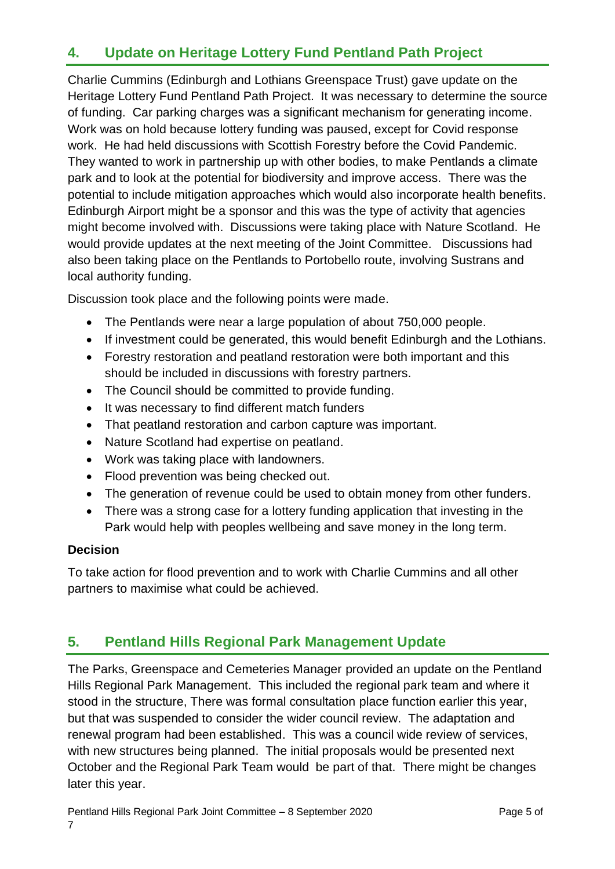## **4. Update on Heritage Lottery Fund Pentland Path Project**

Charlie Cummins (Edinburgh and Lothians Greenspace Trust) gave update on the Heritage Lottery Fund Pentland Path Project. It was necessary to determine the source of funding. Car parking charges was a significant mechanism for generating income. Work was on hold because lottery funding was paused, except for Covid response work. He had held discussions with Scottish Forestry before the Covid Pandemic. They wanted to work in partnership up with other bodies, to make Pentlands a climate park and to look at the potential for biodiversity and improve access. There was the potential to include mitigation approaches which would also incorporate health benefits. Edinburgh Airport might be a sponsor and this was the type of activity that agencies might become involved with. Discussions were taking place with Nature Scotland. He would provide updates at the next meeting of the Joint Committee. Discussions had also been taking place on the Pentlands to Portobello route, involving Sustrans and local authority funding.

Discussion took place and the following points were made.

- The Pentlands were near a large population of about 750,000 people.
- If investment could be generated, this would benefit Edinburgh and the Lothians.
- Forestry restoration and peatland restoration were both important and this should be included in discussions with forestry partners.
- The Council should be committed to provide funding.
- It was necessary to find different match funders
- That peatland restoration and carbon capture was important.
- Nature Scotland had expertise on peatland.
- Work was taking place with landowners.
- Flood prevention was being checked out.
- The generation of revenue could be used to obtain money from other funders.
- There was a strong case for a lottery funding application that investing in the Park would help with peoples wellbeing and save money in the long term.

#### **Decision**

To take action for flood prevention and to work with Charlie Cummins and all other partners to maximise what could be achieved.

## **5. Pentland Hills Regional Park Management Update**

The Parks, Greenspace and Cemeteries Manager provided an update on the Pentland Hills Regional Park Management. This included the regional park team and where it stood in the structure, There was formal consultation place function earlier this year, but that was suspended to consider the wider council review. The adaptation and renewal program had been established. This was a council wide review of services, with new structures being planned. The initial proposals would be presented next October and the Regional Park Team would be part of that. There might be changes later this year.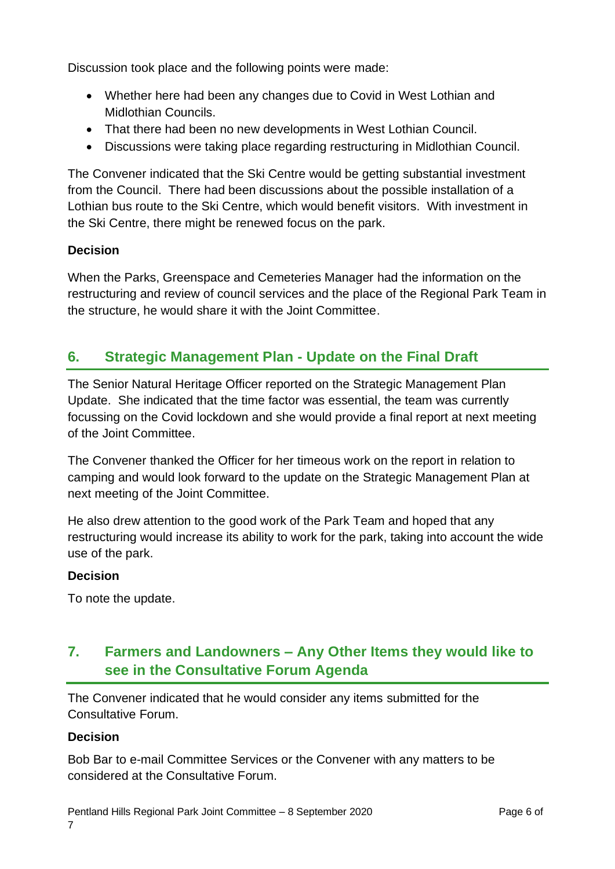Discussion took place and the following points were made:

- Whether here had been any changes due to Covid in West Lothian and Midlothian Councils.
- That there had been no new developments in West Lothian Council.
- Discussions were taking place regarding restructuring in Midlothian Council.

The Convener indicated that the Ski Centre would be getting substantial investment from the Council. There had been discussions about the possible installation of a Lothian bus route to the Ski Centre, which would benefit visitors. With investment in the Ski Centre, there might be renewed focus on the park.

#### **Decision**

When the Parks, Greenspace and Cemeteries Manager had the information on the restructuring and review of council services and the place of the Regional Park Team in the structure, he would share it with the Joint Committee.

## **6. Strategic Management Plan - Update on the Final Draft**

The Senior Natural Heritage Officer reported on the Strategic Management Plan Update. She indicated that the time factor was essential, the team was currently focussing on the Covid lockdown and she would provide a final report at next meeting of the Joint Committee.

The Convener thanked the Officer for her timeous work on the report in relation to camping and would look forward to the update on the Strategic Management Plan at next meeting of the Joint Committee.

He also drew attention to the good work of the Park Team and hoped that any restructuring would increase its ability to work for the park, taking into account the wide use of the park.

#### **Decision**

To note the update.

## **7. Farmers and Landowners – Any Other Items they would like to see in the Consultative Forum Agenda**

The Convener indicated that he would consider any items submitted for the Consultative Forum.

#### **Decision**

Bob Bar to e-mail Committee Services or the Convener with any matters to be considered at the Consultative Forum.